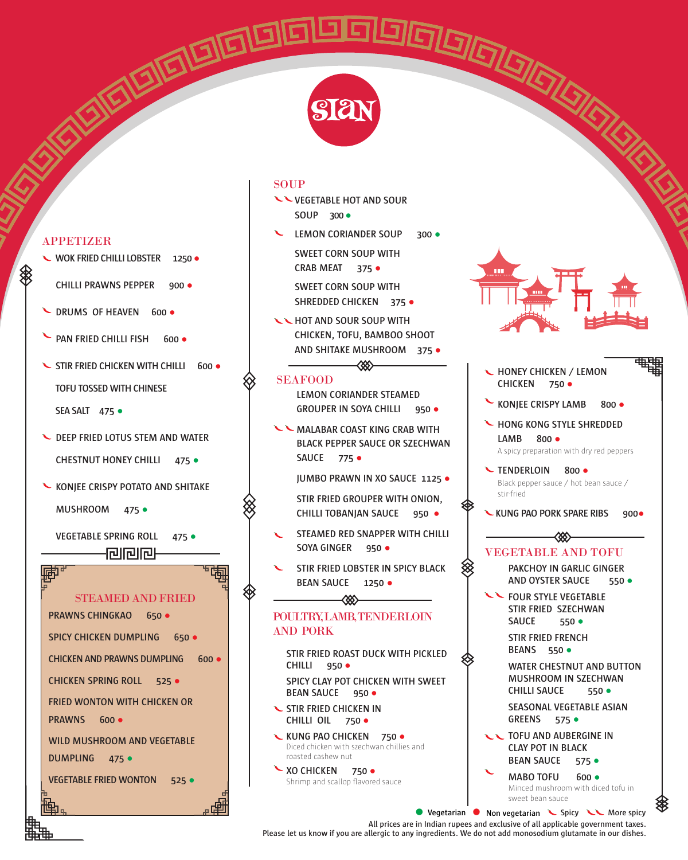

**SOUP** 

- **VEGETABLE HOT AND SOUR SOUP 300**●
- **LEMON CORIANDER SOUP 300 SWEET CORN SOUP WITH CRAB MEAT 375** ● **SWEET CORN SOUP WITH**

**SHREDDED CHICKEN 375** ●

**WWW HOT AND SOUR SOUP WITH CHICKEN, TOFU, BAMBOO SHOOT AND SHITAKE MUSHROOM 375** ●

#### SEAFOOD

**LEMON CORIANDER STEAMED GROUPER IN SOYA CHILLI 950** ●

⋘

**WALABAR COAST KING CRAB WITH BLACK PEPPER SAUCE OR SZECHWAN SAUCE 775** ●

**JUMBO PRAWN IN XO SAUCE 1125** ●

**STIR FRIED GROUPER WITH ONION, CHILLI TOBANJAN SAUCE 950** ●

- **STEAMED RED SNAPPER WITH CHILLI SOYA GINGER 950** ●
- **STIR FRIED LOBSTER IN SPICY BLACK BEAN SAUCE 1250** ●

### POULTRY, LAMB, TENDERLOIN AND PORK

८४४

**STIR FRIED ROAST DUCK WITH PICKLED CHILLI 950** ● **SPICY CLAY POT CHICKEN WITH SWEET BEAN SAUCE 950** ●

**STIR FRIED CHICKEN IN CHILLI OIL 750** ●

**KUNG PAO CHICKEN 750 ·** Diced chicken with szechwan chillies and roasted cashew nut

**XO CHICKEN 750 ·** Shrimp and scallop flavored sauce

#### **HONEY CHICKEN / LEMON CHICKEN 750** ●

**KONJEE CRISPY LAMB 800 ·** 

**HONG KONG STYLE SHREDDED LAMB 800** ● A spicy preparation with dry red peppers

**TENDERLOIN 800** ● Black pepper sauce / hot bean sauce / stir-fried

**KUNG PAO PORK SPARE RIBS 900**● ⋘

# VEGETABLE AND TOFU

**PAKCHOY IN GARLIC GINGER AND OYSTER SAUCE 550** ●

**EXAGURE STYLE VEGETABLE STIR FRIED SZECHWAN SAUCE 550** ●

**STIR FRIED FRENCH BEANS 550** ●

**WATER CHESTNUT AND BUTTON MUSHROOM IN SZECHWAN CHILLI SAUCE 550** ● **SEASONAL VEGETABLE ASIAN**

**GREENS 575** ● **TOFU AND AUBERGINE IN CLAY POT IN BLACK BEAN SAUCE 575** ●

**MABO TOFU 600** ● Minced mushroom with diced tofu in

sweet bean sauce **• Vegetarian • Non vegetarian •** Spicy •• **More spicy** 

#### APPETIZER

- **WOK FRIED CHILLI LOBSTER 1250** ●
- **CHILLI PRAWNS PEPPER 900** ●
- **L** DRUMS OF HEAVEN 600 ·
- **PAN FRIED CHILLI FISH 600 ·**
- **STIR FRIED CHICKEN WITH CHILLI 600 TOFU TOSSED WITH CHINESE**

**SEA SALT 475** ●

- **DEEP FRIED LOTUS STEM AND WATER CHESTNUT HONEY CHILLI 475** ●
- **KONJEE CRISPY POTATO AND SHITAKE**

**MUSHROOM 475** ●

**VEGETABLE SPRING ROLL 475** ● 何问问

#### STEAMED AND FRIED

**PRAWNS CHINGKAO 650** ● **SPICY CHICKEN DUMPLING 650 · CHICKEN AND PRAWNS DUMPLING 600** ● **CHICKEN SPRING ROLL 525** ● **FRIED WONTON WITH CHICKEN OR PRAWNS 600** ● **WILD MUSHROOM AND VEGETABLE DUMPLING 475** ● **VEGETABLE FRIED WONTON 525** ●